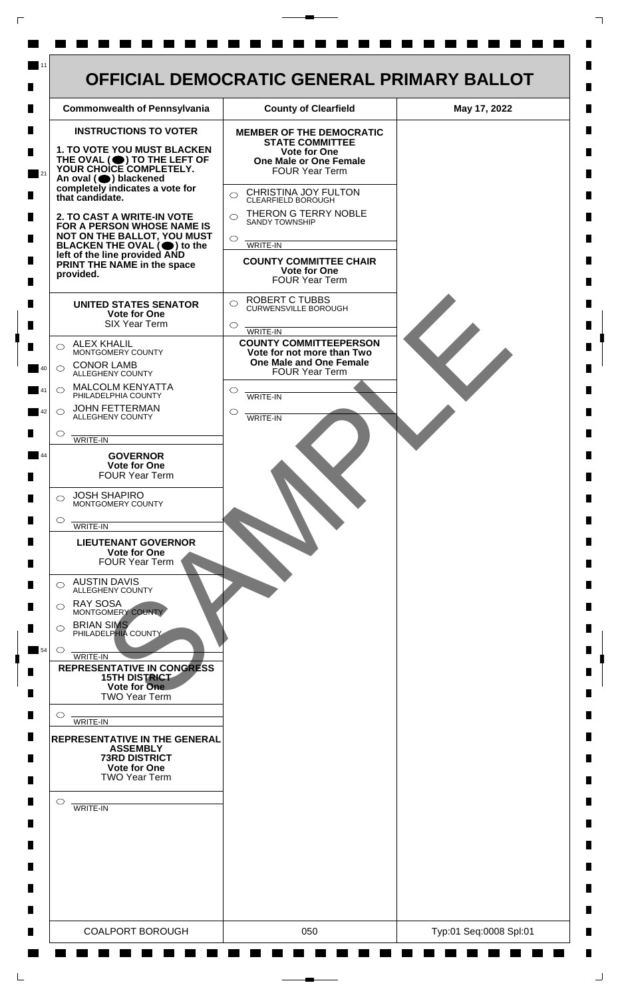

 $\mathsf{L}$ 

 $\Box$